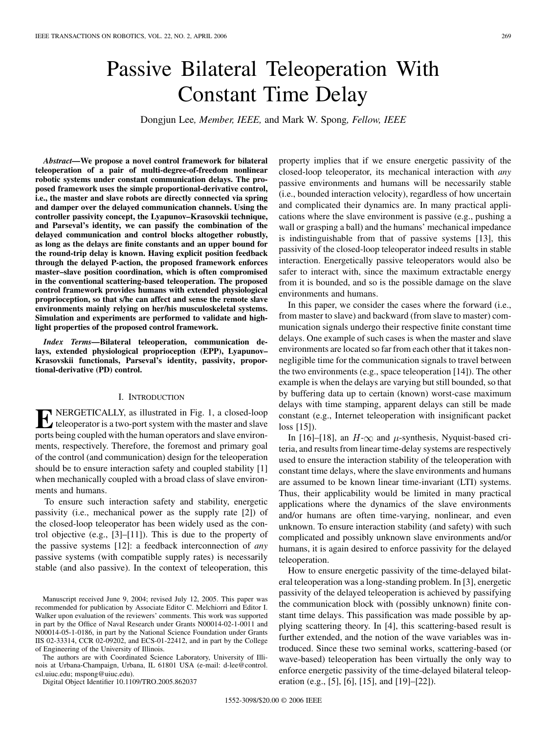# Passive Bilateral Teleoperation With Constant Time Delay

Dongjun Lee*, Member, IEEE,* and Mark W. Spong*, Fellow, IEEE*

*Abstract—***We propose a novel control framework for bilateral teleoperation of a pair of multi-degree-of-freedom nonlinear robotic systems under constant communication delays. The proposed framework uses the simple proportional-derivative control, i.e., the master and slave robots are directly connected via spring and damper over the delayed communication channels. Using the controller passivity concept, the Lyapunov–Krasovskii technique, and Parseval's identity, we can passify the combination of the delayed communication and control blocks altogether robustly, as long as the delays are finite constants and an upper bound for the round-trip delay is known. Having explicit position feedback through the delayed P-action, the proposed framework enforces master–slave position coordination, which is often compromised in the conventional scattering-based teleoperation. The proposed control framework provides humans with extended physiological proprioception, so that s/he can affect and sense the remote slave environments mainly relying on her/his musculoskeletal systems. Simulation and experiments are performed to validate and highlight properties of the proposed control framework.**

*Index Terms—***Bilateral teleoperation, communication delays, extended physiological proprioception (EPP), Lyapunov– Krasovskii functionals, Parseval's identity, passivity, proportional-derivative (PD) control.**

## I. INTRODUCTION

**E** NERGETICALLY, as illustrated in Fig. 1, a closed-loop teleoperator is a two-port system with the master and slave ports being coupled with the human operators and slave environments, respectively. Therefore, the foremost and primary goal of the control (and communication) design for the teleoperation should be to ensure interaction safety and coupled stability [[1\]](#page-11-0) when mechanically coupled with a broad class of slave environments and humans.

To ensure such interaction safety and stability, energetic passivity (i.e., mechanical power as the supply rate [\[2](#page-11-0)]) of the closed-loop teleoperator has been widely used as the control objective (e.g., [[3\]](#page-11-0)–[[11](#page-12-0)]). This is due to the property of the passive systems [[12\]](#page-12-0): a feedback interconnection of *any* passive systems (with compatible supply rates) is necessarily stable (and also passive). In the context of teleoperation, this

The authors are with Coordinated Science Laboratory, University of Illinois at Urbana-Champaign, Urbana, IL 61801 USA (e-mail: d-lee@control. csl.uiuc.edu; mspong@uiuc.edu).

Digital Object Identifier 10.1109/TRO.2005.862037

property implies that if we ensure energetic passivity of the closed-loop teleoperator, its mechanical interaction with *any* passive environments and humans will be necessarily stable (i.e., bounded interaction velocity), regardless of how uncertain and complicated their dynamics are. In many practical applications where the slave environment is passive (e.g., pushing a wall or grasping a ball) and the humans' mechanical impedance is indistinguishable from that of passive systems [\[13\]](#page-12-0), this passivity of the closed-loop teleoperator indeed results in stable interaction. Energetically passive teleoperators would also be safer to interact with, since the maximum extractable energy from it is bounded, and so is the possible damage on the slave environments and humans.

In this paper, we consider the cases where the forward (i.e., from master to slave) and backward (from slave to master) communication signals undergo their respective finite constant time delays. One example of such cases is when the master and slave environments are located so far from each other that it takes nonnegligible time for the communication signals to travel between the two environments (e.g., space teleoperation [[14\]](#page-12-0)). The other example is when the delays are varying but still bounded, so that by buffering data up to certain (known) worst-case maximum delays with time stamping, apparent delays can still be made constant (e.g., Internet teleoperation with insignificant packet loss [[15\]](#page-12-0)).

In [\[16](#page-12-0)]–[[18\]](#page-12-0), an  $H$ - $\infty$  and  $\mu$ -synthesis, Nyquist-based criteria, and results from linear time-delay systems are respectively used to ensure the interaction stability of the teleoperation with constant time delays, where the slave environments and humans are assumed to be known linear time-invariant (LTI) systems. Thus, their applicability would be limited in many practical applications where the dynamics of the slave environments and/or humans are often time-varying, nonlinear, and even unknown. To ensure interaction stability (and safety) with such complicated and possibly unknown slave environments and/or humans, it is again desired to enforce passivity for the delayed teleoperation.

How to ensure energetic passivity of the time-delayed bilateral teleoperation was a long-standing problem. In [\[3](#page-11-0)], energetic passivity of the delayed teleoperation is achieved by passifying the communication block with (possibly unknown) finite constant time delays. This passification was made possible by applying scattering theory. In [[4\]](#page-11-0), this scattering-based result is further extended, and the notion of the wave variables was introduced. Since these two seminal works, scattering-based (or wave-based) teleoperation has been virtually the only way to enforce energetic passivity of the time-delayed bilateral teleoperation (e.g., [[5\]](#page-11-0), [\[6](#page-11-0)], [\[15](#page-12-0)], and [\[19](#page-12-0)]–[[22\]](#page-12-0)).

Manuscript received June 9, 2004; revised July 12, 2005. This paper was recommended for publication by Associate Editor C. Melchiorri and Editor I. Walker upon evaluation of the reviewers' comments. This work was supported in part by the Office of Naval Research under Grants N00014-02-1-0011 and N00014-05-1-0186, in part by the National Science Foundation under Grants IIS 02-33314, CCR 02-09202, and ECS-01-22412, and in part by the College of Engineering of the University of Illinois.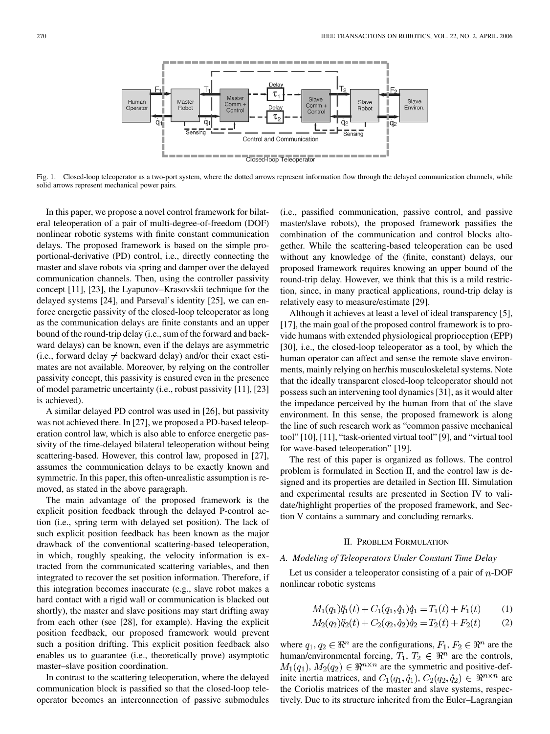

Fig. 1. Closed-loop teleoperator as a two-port system, where the dotted arrows represent information flow through the delayed communication channels, while solid arrows represent mechanical power pairs.

In this paper, we propose a novel control framework for bilateral teleoperation of a pair of multi-degree-of-freedom (DOF) nonlinear robotic systems with finite constant communication delays. The proposed framework is based on the simple proportional-derivative (PD) control, i.e., directly connecting the master and slave robots via spring and damper over the delayed communication channels. Then, using the controller passivity concept [[11\]](#page-12-0), [[23\]](#page-12-0), the Lyapunov–Krasovskii technique for the delayed systems [\[24](#page-12-0)], and Parseval's identity [[25\]](#page-12-0), we can enforce energetic passivity of the closed-loop teleoperator as long as the communication delays are finite constants and an upper bound of the round-trip delay (i.e., sum of the forward and backward delays) can be known, even if the delays are asymmetric (i.e., forward delay  $\neq$  backward delay) and/or their exact estimates are not available. Moreover, by relying on the controller passivity concept, this passivity is ensured even in the presence of model parametric uncertainty (i.e., robust passivity [\[11](#page-12-0)], [\[23](#page-12-0)] is achieved).

A similar delayed PD control was used in [[26\]](#page-12-0), but passivity was not achieved there. In [\[27](#page-12-0)], we proposed a PD-based teleoperation control law, which is also able to enforce energetic passivity of the time-delayed bilateral teleoperation without being scattering-based. However, this control law, proposed in [[27\]](#page-12-0), assumes the communication delays to be exactly known and symmetric. In this paper, this often-unrealistic assumption is removed, as stated in the above paragraph.

The main advantage of the proposed framework is the explicit position feedback through the delayed P-control action (i.e., spring term with delayed set position). The lack of such explicit position feedback has been known as the major drawback of the conventional scattering-based teleoperation, in which, roughly speaking, the velocity information is extracted from the communicated scattering variables, and then integrated to recover the set position information. Therefore, if this integration becomes inaccurate (e.g., slave robot makes a hard contact with a rigid wall or communication is blacked out shortly), the master and slave positions may start drifting away from each other (see [[28\]](#page-12-0), for example). Having the explicit position feedback, our proposed framework would prevent such a position drifting. This explicit position feedback also enables us to guarantee (i.e., theoretically prove) asymptotic master–slave position coordination.

In contrast to the scattering teleoperation, where the delayed communication block is passified so that the closed-loop teleoperator becomes an interconnection of passive submodules

(i.e., passified communication, passive control, and passive master/slave robots), the proposed framework passifies the combination of the communication and control blocks altogether. While the scattering-based teleoperation can be used without any knowledge of the (finite, constant) delays, our proposed framework requires knowing an upper bound of the round-trip delay. However, we think that this is a mild restriction, since, in many practical applications, round-trip delay is relatively easy to measure/estimate [[29\]](#page-12-0).

Although it achieves at least a level of ideal transparency [[5\]](#page-11-0), [[17\]](#page-12-0), the main goal of the proposed control framework is to provide humans with extended physiological proprioception (EPP) [[30\]](#page-12-0), i.e., the closed-loop teleoperator as a tool, by which the human operator can affect and sense the remote slave environments, mainly relying on her/his musculoskeletal systems. Note that the ideally transparent closed-loop teleoperator should not possess such an intervening tool dynamics [[31\]](#page-12-0), as it would alter the impedance perceived by the human from that of the slave environment. In this sense, the proposed framework is along the line of such research work as "common passive mechanical tool" [[10\]](#page-11-0), [[11\]](#page-12-0), "task-oriented virtual tool" [\[9](#page-11-0)], and "virtual tool for wave-based teleoperation" [[19\]](#page-12-0).

The rest of this paper is organized as follows. The control problem is formulated in Section II, and the control law is designed and its properties are detailed in Section III. Simulation and experimental results are presented in Section IV to validate/highlight properties of the proposed framework, and Section V contains a summary and concluding remarks.

#### II. PROBLEM FORMULATION

## *A. Modeling of Teleoperators Under Constant Time Delay*

Let us consider a teleoperator consisting of a pair of  $n$ -DOF nonlinear robotic systems

$$
M_1(q_1)\ddot{q}_1(t) + C_1(q_1, \dot{q}_1)\dot{q}_1 = T_1(t) + F_1(t) \tag{1}
$$

$$
M_2(q_2)\ddot{q}_2(t) + C_2(q_2, \dot{q}_2)\dot{q}_2 = T_2(t) + F_2(t)
$$
 (2)

where  $q_1, q_2 \in \mathbb{R}^n$  are the configurations,  $F_1, F_2 \in \mathbb{R}^n$  are the human/environmental forcing,  $T_1, T_2 \in \mathbb{R}^n$  are the controls,  $M_1(q_1), M_2(q_2) \in \mathbb{R}^{n \times n}$  are the symmetric and positive-definite inertia matrices, and  $C_1(q_1, \dot{q}_1)$ ,  $C_2(q_2, \dot{q}_2) \in \mathbb{R}^{n \times n}$  are the Coriolis matrices of the master and slave systems, respectively. Due to its structure inherited from the Euler–Lagrangian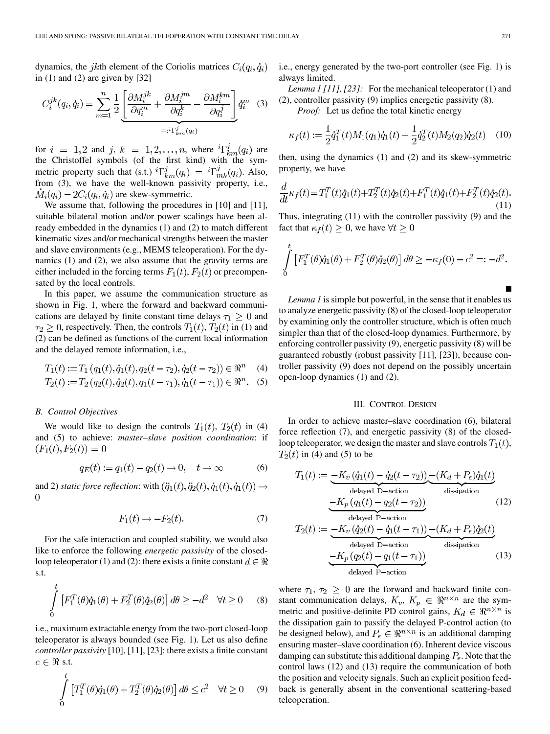dynamics, the jkth element of the Coriolis matrices  $C_i(q_i, \dot{q}_i)$ in  $(1)$  and  $(2)$  are given by  $[32]$  $[32]$ 

$$
C_i^{jk}(q_i, \dot{q}_i) = \sum_{m=1}^n \frac{1}{2} \underbrace{\left[ \frac{\partial M_i^{jk}}{\partial q_i^m} + \frac{\partial M_i^{jm}}{\partial q_i^k} - \frac{\partial M_i^{km}}{\partial q_i^j} \right]}_{=:i \Gamma_{km}^j(q_i)} \dot{q}_i^m \quad (3)
$$

for  $i = 1, 2$  and  $j, k = 1, 2, ..., n$ , where  ${}^{i}\Gamma_{km}^{j}(q_i)$  are the Christoffel symbols (of the first kind) with the symmetric property such that (s.t.)  ${}^{i}\Gamma^{j}_{km}(q_i) = {}^{i}\Gamma^{j}_{mk}(q_i)$ . Also, from (3), we have the well-known passivity property, i.e.,  $M_i(q_i) - 2C_i(q_i, \dot{q}_i)$  are skew-symmetric.

We assume that, following the procedures in [[10\]](#page-11-0) and [\[11](#page-12-0)], suitable bilateral motion and/or power scalings have been already embedded in the dynamics (1) and (2) to match different kinematic sizes and/or mechanical strengths between the master and slave environments (e.g., MEMS teleoperation). For the dynamics (1) and (2), we also assume that the gravity terms are either included in the forcing terms  $F_1(t)$ ,  $F_2(t)$  or precompensated by the local controls.

In this paper, we assume the communication structure as shown in Fig. 1, where the forward and backward communications are delayed by finite constant time delays  $\tau_1 \geq 0$  and  $\tau_2 \geq 0$ , respectively. Then, the controls  $T_1(t)$ ,  $T_2(t)$  in (1) and (2) can be defined as functions of the current local information and the delayed remote information, i.e.,

$$
T_1(t) := T_1(q_1(t), \dot{q}_1(t), q_2(t - \tau_2), \dot{q}_2(t - \tau_2)) \in \mathbb{R}^n \quad (4)
$$

$$
T_2(t) := T_2(q_2(t), \dot{q}_2(t), q_1(t - \tau_1), \dot{q}_1(t - \tau_1)) \in \mathbb{R}^n. \quad (5)
$$

## *B. Control Objectives*

We would like to design the controls  $T_1(t)$ ,  $T_2(t)$  in (4) and (5) to achieve: *master–slave position coordination*: if  $(F_1(t), F_2(t)) = 0$ 

$$
q_E(t) := q_1(t) - q_2(t) \to 0, \quad t \to \infty \tag{6}
$$

and 2) *static force reflection*: with  $(\ddot{q}_1(t), \ddot{q}_2(t), \dot{q}_1(t), \dot{q}_1(t)) \rightarrow$  $\overline{0}$ 

$$
F_1(t) \to -F_2(t). \tag{7}
$$

For the safe interaction and coupled stability, we would also like to enforce the following *energetic passivity* of the closedloop teleoperator (1) and (2): there exists a finite constant  $d \in \Re$ s.t.

$$
\int_{0}^{t} \left[ F_1^T(\theta) \dot{q}_1(\theta) + F_2^T(\theta) \dot{q}_2(\theta) \right] d\theta \ge -d^2 \quad \forall t \ge 0 \quad (8)
$$

i.e., maximum extractable energy from the two-port closed-loop teleoperator is always bounded (see Fig. 1). Let us also define *controller passivity* [[10\]](#page-11-0), [\[11\]](#page-12-0), [\[23](#page-12-0)]: there exists a finite constant  $c \in \Re \text{ s.t.}$ 

$$
\int_{0}^{t} \left[ T_1^T(\theta) \dot{q}_1(\theta) + T_2^T(\theta) \dot{q}_2(\theta) \right] d\theta \le c^2 \quad \forall t \ge 0 \quad (9)
$$

i.e., energy generated by the two-port controller (see Fig. 1) is always limited.

*Lemma 1 [[11\]](#page-12-0), [\[23\]](#page-12-0):* For the mechanical teleoperator (1) and (2), controller passivity (9) implies energetic passivity (8).

*Proof:* Let us define the total kinetic energy

$$
\kappa_f(t) := \frac{1}{2} \dot{q}_1^T(t) M_1(q_1) \dot{q}_1(t) + \frac{1}{2} \dot{q}_2^T(t) M_2(q_2) \dot{q}_2(t) \quad (10)
$$

then, using the dynamics (1) and (2) and its skew-symmetric property, we have

$$
\frac{d}{dt}\kappa_f(t) = T_1^T(t)\dot{q}_1(t) + T_2^T(t)\dot{q}_2(t) + F_1^T(t)\dot{q}_1(t) + F_2^T(t)\dot{q}_2(t).
$$
\n(11)

Thus, integrating (11) with the controller passivity (9) and the fact that  $\kappa_f(t) \geq 0$ , we have  $\forall t \geq 0$ 

$$
\int_{0}^{L} \left[ F_1^T(\theta) \dot{q}_1(\theta) + F_2^T(\theta) \dot{q}_2(\theta) \right] d\theta \ge -\kappa_f(0) - c^2 =:-d^2.
$$

*Lemma 1* is simple but powerful, in the sense that it enables us to analyze energetic passivity (8) of the closed-loop teleoperator by examining only the controller structure, which is often much simpler than that of the closed-loop dynamics. Furthermore, by enforcing controller passivity (9), energetic passivity (8) will be guaranteed robustly (robust passivity [[11\]](#page-12-0), [[23\]](#page-12-0)), because controller passivity (9) does not depend on the possibly uncertain open-loop dynamics (1) and (2).

## III. CONTROL DESIGN

In order to achieve master–slave coordination (6), bilateral force reflection (7), and energetic passivity (8) of the closedloop teleoperator, we design the master and slave controls  $T_1(t)$ ,  $T_2(t)$  in (4) and (5) to be

$$
T_1(t) := \underbrace{-K_v(\dot{q}_1(t) - \dot{q}_2(t-\tau_2))}_{\text{delayed D-action}} \underbrace{-(K_d + P_{\epsilon})\dot{q}_1(t)}_{\text{dissipation}}
$$
\n
$$
\underbrace{-K_p(q_1(t) - q_2(t-\tau_2))}_{\text{delayed P-action}}
$$
\n(12)

$$
T_2(t) := \underbrace{-K_v(\dot{q}_2(t) - \dot{q}_1(t-\tau_1))}_{\text{delayed D-action}} - (K_d + P_{\epsilon})\dot{q}_2(t)
$$
\n
$$
-K_p(q_2(t) - q_1(t-\tau_1))
$$
\ndelayed P-action (13)

where  $\tau_1$ ,  $\tau_2 \geq 0$  are the forward and backward finite constant communication delays,  $K_v$ ,  $K_p \in \mathbb{R}^{n \times n}$  are the symmetric and positive-definite PD control gains,  $K_d \in \mathbb{R}^{n \times n}$  is the dissipation gain to passify the delayed P-control action (to be designed below), and  $P_{\epsilon} \in \mathbb{R}^{n \times n}$  is an additional damping ensuring master–slave coordination (6). Inherent device viscous damping can substitute this additional damping  $P_{\epsilon}$ . Note that the control laws (12) and (13) require the communication of both the position and velocity signals. Such an explicit position feedback is generally absent in the conventional scattering-based teleoperation.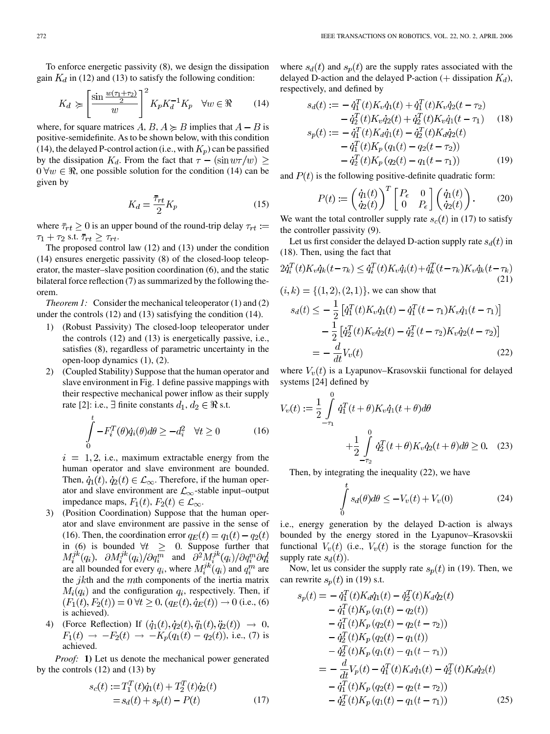To enforce energetic passivity (8), we design the dissipation gain  $K_d$  in (12) and (13) to satisfy the following condition:

$$
K_d \geqslant \left[\frac{\sin\frac{w(\tau_1 + \tau_2)}{2}}{w}\right]^2 K_p K_d^{-1} K_p \quad \forall w \in \Re \qquad (14)
$$

where, for square matrices  $A, B, A \ge B$  implies that  $A - B$  is positive-semidefinite. As to be shown below, with this condition (14), the delayed P-control action (i.e., with  $K_p$ ) can be passified by the dissipation  $K_d$ . From the fact that  $\tau - (\sin w \tau/w) \ge$  $0 \forall w \in \mathbb{R}$ , one possible solution for the condition (14) can be given by

$$
K_d = \frac{\bar{\tau}_{rt}}{2} K_p \tag{15}
$$

where  $\bar{\tau}_{rt} \geq 0$  is an upper bound of the round-trip delay  $\tau_{rt} :=$  $\tau_1 + \tau_2$  s.t.  $\bar{\tau}_{rt} \geq \tau_{rt}$ .

The proposed control law (12) and (13) under the condition (14) ensures energetic passivity (8) of the closed-loop teleoperator, the master–slave position coordination (6), and the static bilateral force reflection (7) as summarized by the following theorem.

*Theorem 1:* Consider the mechanical teleoperator (1) and (2) under the controls (12) and (13) satisfying the condition (14).

- 1) (Robust Passivity) The closed-loop teleoperator under the controls (12) and (13) is energetically passive, i.e., satisfies (8), regardless of parametric uncertainty in the open-loop dynamics (1), (2).
- 2) (Coupled Stability) Suppose that the human operator and slave environment in Fig. 1 define passive mappings with their respective mechanical power inflow as their supply rate [\[2](#page-11-0)]: i.e.,  $\exists$  finite constants  $d_1, d_2 \in \Re$  s.t.

$$
\int_{0}^{c} -F_{i}^{T}(\theta)\dot{q}_{i}(\theta)d\theta \geq -d_{i}^{2} \quad \forall t \geq 0 \tag{16}
$$

 $i = 1, 2$ , i.e., maximum extractable energy from the human operator and slave environment are bounded. Then,  $\dot{q}_1(t), \dot{q}_2(t) \in \mathcal{L}_{\infty}$ . Therefore, if the human operator and slave environment are  $\mathcal{L}_{\infty}$ -stable input–output impedance maps,  $F_1(t)$ ,  $F_2(t) \in \mathcal{L}_{\infty}$ .

- 3) (Position Coordination) Suppose that the human operator and slave environment are passive in the sense of (16). Then, the coordination error  $q_E(t) = q_1(t) - q_2(t)$ in (6) is bounded  $\forall t \geq 0$ . Suppose further that  $M_i^{jk}(q_i)$ ,  $\partial M_i^{jk}(q_i)/\partial q_i^{m}$  and  $\partial^2 M_i^{jk}(q_i)/\partial q_i^{m} \partial q_i^{l}$ are all bounded for every  $q_i$ , where  $M_i^{jk}(q_i)$  and  $q_i^m$  are the  $jk$ th and the  $m$ th components of the inertia matrix  $M_i(q_i)$  and the configuration  $q_i$ , respectively. Then, if  $(F_1(t), F_2(t)) = 0 \,\forall t \geq 0, (q_E(t), \dot{q}_E(t)) \to 0$  (i.e., (6) is achieved).
- 4) (Force Reflection) If  $(\dot{q}_1(t), \dot{q}_2(t), \ddot{q}_1(t), \ddot{q}_2(t)) \rightarrow 0$ ,  $F_1(t) \rightarrow -F_2(t) \rightarrow -K_p(q_1(t) - q_2(t))$ , i.e., (7) is achieved.

*Proof:* **1)** Let us denote the mechanical power generated by the controls (12) and (13) by

$$
s_c(t) := T_1^T(t)\dot{q}_1(t) + T_2^T(t)\dot{q}_2(t)
$$
  
=  $s_d(t) + s_p(t) - P(t)$  (17)

where  $s_d(t)$  and  $s_p(t)$  are the supply rates associated with the delayed D-action and the delayed P-action (+ dissipation  $K_d$ ), respectively, and defined by

$$
s_d(t) := -\dot{q}_1^T(t)K_v\dot{q}_1(t) + \dot{q}_1^T(t)K_v\dot{q}_2(t-\tau_2)
$$
  
\n
$$
-\dot{q}_2^T(t)K_v\dot{q}_2(t) + \dot{q}_2^T(t)K_v\dot{q}_1(t-\tau_1)
$$
(18)  
\n
$$
s_p(t) := -\dot{q}_1^T(t)K_d\dot{q}_1(t) - \dot{q}_2^T(t)K_d\dot{q}_2(t)
$$
  
\n
$$
-\dot{q}_1^T(t)K_p(q_1(t) - q_2(t-\tau_2))
$$
  
\n
$$
-\dot{q}_2^T(t)K_p(q_2(t) - q_1(t-\tau_1))
$$
(19)

and  $P(t)$  is the following positive-definite quadratic form:

$$
P(t) := \left(\begin{array}{c} \dot{q}_1(t) \\ \dot{q}_2(t) \end{array}\right)^T \begin{bmatrix} P_{\epsilon} & 0 \\ 0 & P_{\epsilon} \end{bmatrix} \begin{pmatrix} \dot{q}_1(t) \\ \dot{q}_2(t) \end{pmatrix} . \tag{20}
$$

We want the total controller supply rate  $s_c(t)$  in (17) to satisfy the controller passivity (9).

Let us first consider the delayed D-action supply rate  $s_d(t)$  in (18). Then, using the fact that

$$
2\dot{q}_i^T(t)K_v\dot{q}_k(t-\tau_k) \leq \dot{q}_i^T(t)K_v\dot{q}_i(t) + \dot{q}_k^T(t-\tau_k)K_v\dot{q}_k(t-\tau_k)
$$
\n
$$
(21)
$$

$$
(i,k) = \{(1,2), (2,1)\}, \text{ we can show that}
$$

$$
s_d(t) \le -\frac{1}{2} \left[ \dot{q}_1^T(t) K_v \dot{q}_1(t) - \dot{q}_1^T(t - \tau_1) K_v \dot{q}_1(t - \tau_1) \right]
$$

$$
-\frac{1}{2} \left[ \dot{q}_2^T(t) K_v \dot{q}_2(t) - \dot{q}_2^T(t - \tau_2) K_v \dot{q}_2(t - \tau_2) \right]
$$

$$
= -\frac{d}{dt} V_v(t) \tag{22}
$$

where  $V_v(t)$  is a Lyapunov–Krasovskii functional for delayed systems [\[24](#page-12-0)] defined by

$$
V_v(t) := \frac{1}{2} \int_{-\tau_1}^{0} \dot{q}_1^T(t+\theta) K_v \dot{q}_1(t+\theta) d\theta
$$
  
+ 
$$
\frac{1}{2} \int_{-\tau_2}^{0} \dot{q}_2^T(t+\theta) K_v \dot{q}_2(t+\theta) d\theta \ge 0.
$$
 (23)

Then, by integrating the inequality (22), we have

$$
\int_{0}^{t} s_d(\theta)d\theta \le -V_v(t) + V_v(0)
$$
\n(24)

i.e., energy generation by the delayed D-action is always bounded by the energy stored in the Lyapunov–Krasovskii functional  $V_v(t)$  (i.e.,  $V_v(t)$  is the storage function for the supply rate  $s_d(t)$ ).

Now, let us consider the supply rate  $s_p(t)$  in (19). Then, we can rewrite  $s_p(t)$  in (19) s.t.

$$
s_p(t) = -\dot{q}_1^T(t)K_d\dot{q}_1(t) - \dot{q}_2^T(t)K_d\dot{q}_2(t) - \dot{q}_1^T(t)K_p(q_1(t) - q_2(t)) - \dot{q}_1^T(t)K_p(q_2(t) - q_2(t - \tau_2)) - \dot{q}_2^T(t)K_p(q_2(t) - q_1(t)) - \dot{q}_2^T(t)K_p(q_1(t) - q_1(t - \tau_1)) = -\frac{d}{dt}V_p(t) - \dot{q}_1^T(t)K_d\dot{q}_1(t) - \dot{q}_2^T(t)K_d\dot{q}_2(t) - \dot{q}_1^T(t)K_p(q_2(t) - q_2(t - \tau_2)) - \dot{q}_2^T(t)K_p(q_1(t) - q_1(t - \tau_1))
$$
(25)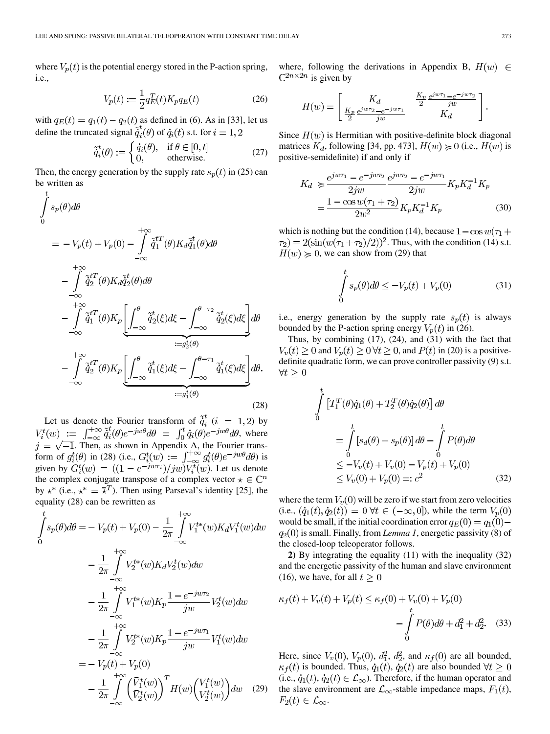where  $V_p(t)$  is the potential energy stored in the P-action spring, i.e.,

$$
V_p(t) := \frac{1}{2} q_E^T(t) K_p q_E(t)
$$
 (26)

with  $q_E(t) = q_1(t) - q_2(t)$  as defined in (6). As in [\[33](#page-12-0)], let us define the truncated signal  $\tilde{q}_i^t(\theta)$  of  $\dot{q}_i(t)$  s.t. for  $i = 1, 2$ 

$$
\tilde{\dot{q}}_i^t(\theta) := \begin{cases} \dot{q}_i(\theta), & \text{if } \theta \in [0, t] \\ 0, & \text{otherwise.} \end{cases}
$$
\n(27)

Then, the energy generation by the supply rate  $s_p(t)$  in (25) can be written as  $\overline{t}$ 

$$
\int_{0}^{1} s_{p}(\theta) d\theta
$$
\n
$$
= -V_{p}(t) + V_{p}(0) - \int_{-\infty}^{+\infty} \tilde{q}_{1}^{t}(\theta) K_{d} \tilde{q}_{1}^{t}(\theta) d\theta
$$
\n
$$
- \int_{-\infty}^{+\infty} \tilde{q}_{2}^{t}(\theta) K_{d} \tilde{q}_{2}^{t}(\theta) d\theta
$$
\n
$$
- \int_{-\infty}^{+\infty} \tilde{q}_{1}^{t}(\theta) K_{p} \left[ \int_{-\infty}^{\theta} \tilde{q}_{2}^{t}(\xi) d\xi - \int_{-\infty}^{\theta - \tau_{2}} \tilde{q}_{2}^{t}(\xi) d\xi \right] d\theta
$$
\n
$$
- \int_{-\infty}^{+\infty} \tilde{q}_{1}^{t}(\theta) K_{p} \left[ \int_{-\infty}^{\theta} \tilde{q}_{1}^{t}(\xi) d\xi - \int_{-\infty}^{\theta - \tau_{1}} \tilde{q}_{1}^{t}(\xi) d\xi \right] d\theta
$$
\n
$$
- \int_{-\infty}^{+\infty} \tilde{q}_{2}^{t}(\theta) K_{p} \left[ \int_{-\infty}^{\theta} \tilde{q}_{1}^{t}(\xi) d\xi - \int_{-\infty}^{\theta - \tau_{1}} \tilde{q}_{1}^{t}(\xi) d\xi \right] d\theta.
$$
\n(28)

Let us denote the Fourier transform of  $\tilde{q}_i^t$  ( $i = 1, 2$ ) by  $V_i^t(w) := \int_{-\infty}^{+\infty} \tilde{q}_i^t(\theta) e^{-jw\theta} d\theta = \int_0^t \dot{q}_i(\theta) e^{-jw\theta} d\theta$ , where . Then, as shown in Appendix A, the Fourier transform of  $g_i^t(\theta)$  in (28) (i.e.,  $G_i^t(w) := \int_{-\infty}^{+\infty} g_i^t(\theta) e^{-\jmath w \theta} d\theta$ ) is given by  $G_i^t(w) = ((1 - e^{-j w \tau_i})/j w) V_i^t(w)$ . Let us denote the complex conjugate transpose of a complex vector  $\star \in \mathbb{C}^n$ by  $\star^*$  (i.e.,  $\star^* = \overline{\star}^T$ ). Then using Parseval's identity [\[25](#page-12-0)], the equality (28) can be rewritten as

$$
\int_{0}^{t} s_{p}(\theta) d\theta = -V_{p}(t) + V_{p}(0) - \frac{1}{2\pi} \int_{-\infty}^{+\infty} V_{1}^{t*}(w) K_{d} V_{1}^{t}(w) dw
$$
\n
$$
- \frac{1}{2\pi} \int_{-\infty}^{+\infty} V_{2}^{t*}(w) K_{d} V_{2}^{t}(w) dw
$$
\n
$$
- \frac{1}{2\pi} \int_{-\infty}^{+\infty} V_{1}^{t*}(w) K_{p} \frac{1 - e^{-j w \tau_{2}}}{j w} V_{2}^{t}(w) dw
$$
\n
$$
- \frac{1}{2\pi} \int_{-\infty}^{+\infty} V_{2}^{t*}(w) K_{p} \frac{1 - e^{-j w \tau_{1}}}{j w} V_{1}^{t}(w) dw
$$
\n
$$
= -V_{p}(t) + V_{p}(0)
$$
\n
$$
- \frac{1}{2\pi} \int_{-\infty}^{+\infty} \left( \frac{\bar{V}_{1}^{t}(w)}{\bar{V}_{2}^{t}(w)} \right)^{T} H(w) \left( \frac{V_{1}^{t}(w)}{V_{2}^{t}(w)} \right) dw \quad (29)
$$

where, following the derivations in Appendix B,  $H(w) \in$  $\mathbb{C}^{2n \times 2n}$  is given by

$$
H(w) = \begin{bmatrix} K_d & \frac{K_p}{2} \frac{e^{j w \tau_1} - e^{-j w \tau_2}}{j w} \\ \frac{K_p}{2} \frac{e^{j w \tau_2} - e^{-j w \tau_1}}{j w} & K_d \end{bmatrix}.
$$

Since  $H(w)$  is Hermitian with positive-definite block diagonal matrices  $K_d$ , following [[34,](#page-12-0) pp. 473],  $H(w) \ge 0$  (i.e.,  $H(w)$  is positive-semidefinite) if and only if

$$
K_d \geq \frac{e^{j w \tau_1} - e^{-j w \tau_2}}{2j w} \frac{e^{j w \tau_2} - e^{-j w \tau_1}}{2j w} K_p K_d^{-1} K_p
$$
  
= 
$$
\frac{1 - \cos w(\tau_1 + \tau_2)}{2w^2} K_p K_d^{-1} K_p
$$
(30)

which is nothing but the condition (14), because  $1 - \cos w(\tau_1 +$  $\tau_2$ ) = 2(sin( $w(\tau_1 + \tau_2)/2$ )<sup>2</sup>. Thus, with the condition (14) s.t.  $H(w) \geq 0$ , we can show from (29) that

$$
\int_{0}^{t} s_p(\theta)d\theta \le -V_p(t) + V_p(0)
$$
\n(31)

i.e., energy generation by the supply rate  $s_p(t)$  is always bounded by the P-action spring energy  $V_p(t)$  in (26).

Thus, by combining (17), (24), and (31) with the fact that  $V_v(t) \ge 0$  and  $V_p(t) \ge 0 \forall t \ge 0$ , and  $P(t)$  in (20) is a positivedefinite quadratic form, we can prove controller passivity (9) s.t.  $\forall t \geq 0$ 

$$
\int_{0}^{t} \left[ T_1^T(\theta) \dot{q}_1(\theta) + T_2^T(\theta) \dot{q}_2(\theta) \right] d\theta
$$
\n
$$
= \int_{0}^{t} \left[ s_d(\theta) + s_p(\theta) \right] d\theta - \int_{0}^{t} P(\theta) d\theta
$$
\n
$$
\leq -V_v(t) + V_v(0) - V_p(t) + V_p(0)
$$
\n
$$
\leq V_v(0) + V_p(0) =: c^2 \tag{32}
$$

where the term  $V_v(0)$  will be zero if we start from zero velocities (i.e.,  $(\dot{q}_1(t), \dot{q}_2(t)) = 0 \ \forall t \in (-\infty, 0]$ ), while the term  $V_p(0)$ would be small, if the initial coordination error  $q_E(0) = q_1(0)$  $q_2(0)$  is small. Finally, from *Lemma 1*, energetic passivity (8) of the closed-loop teleoperator follows.

**2)** By integrating the equality (11) with the inequality (32) and the energetic passivity of the human and slave environment (16), we have, for all  $t \geq 0$ 

$$
\kappa_f(t) + V_v(t) + V_p(t) \le \kappa_f(0) + V_v(0) + V_p(0) - \int_0^t P(\theta) d\theta + d_1^2 + d_2^2.
$$
 (33)

Here, since  $V_v(0)$ ,  $V_p(0)$ ,  $d_1^2$ ,  $d_2^2$ , and  $\kappa_f(0)$  are all bounded,  $\kappa_f(t)$  is bounded. Thus,  $\dot{q}_1(t)$ ,  $\dot{q}_2(t)$  are also bounded  $\forall t \geq 0$ (i.e.,  $\dot{q}_1(t), \dot{q}_2(t) \in \mathcal{L}_{\infty}$ ). Therefore, if the human operator and the slave environment are  $\mathcal{L}_{\infty}$ -stable impedance maps,  $F_1(t)$ ,  $F_2(t) \in \mathcal{L}_{\infty}$ .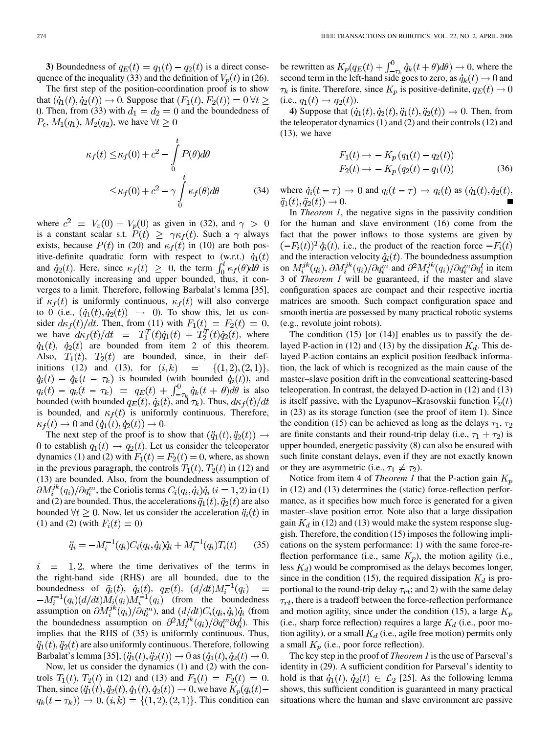**3)** Boundedness of  $q_E(t) = q_1(t) - q_2(t)$  is a direct consequence of the inequality (33) and the definition of  $V_p(t)$  in (26).

The first step of the position-coordination proof is to show that  $(\dot{q}_1(t), \dot{q}_2(t)) \rightarrow 0$ . Suppose that  $(F_1(t), F_2(t)) = 0 \forall t \ge$ 0. Then, from (33) with  $d_1 = d_2 = 0$  and the boundedness of  $P_{\epsilon}$ ,  $M_1(q_1)$ ,  $M_2(q_2)$ , we have  $\forall t \geq 0$ 

$$
\kappa_f(t) \le \kappa_f(0) + c^2 - \int_0^t P(\theta) d\theta
$$
  

$$
\le \kappa_f(0) + c^2 - \gamma \int_0^t \kappa_f(\theta) d\theta
$$
 (34)

where  $c^2 = V_v(0) + V_p(0)$  as given in (32), and  $\gamma > 0$ is a constant scalar s.t.  $P(t) \geq \gamma \kappa_f(t)$ . Such a  $\gamma$  always exists, because  $P(t)$  in (20) and  $\kappa_f(t)$  in (10) are both positive-definite quadratic form with respect to (w.r.t.)  $\dot{q}_1(t)$ and  $\dot{q}_2(t)$ . Here, since  $\kappa_f(t) \geq 0$ , the term  $\int_0^t \kappa_f(\theta) d\theta$  is monotonically increasing and upper bounded, thus, it converges to a limit. Therefore, following Barbalat's lemma [[35\]](#page-12-0), if  $\kappa_f(t)$  is uniformly continuous,  $\kappa_f(t)$  will also converge to 0 (i.e.,  $(\dot{q}_1(t), \dot{q}_2(t)) \rightarrow 0$ ). To show this, let us consider  $d\kappa_f(t)/dt$ . Then, from (11) with  $F_1(t) = F_2(t) = 0$ , we have  $d\kappa_f(t)/dt = T_1^T(t)\dot{q}_1(t) + T_2^T(t)\dot{q}_2(t)$ , where  $\dot{q}_1(t)$ ,  $\dot{q}_2(t)$  are bounded from item 2 of this theorem. Also,  $T_1(t)$ ,  $T_2(t)$  are bounded, since, in their definitions (12) and (13), for  $(i,k)$  =  $\{(1,2),(2,1)\},$  $\dot{q}_i(t) - \dot{q}_k(t - \tau_k)$  is bounded (with bounded  $\dot{q}_i(t)$ ), and  $q_i(t) - q_k(t - \tau_k) = q_E(t) + \int_{-\tau_k}^{0} \dot{q}_k(t + \theta) d\theta$  is also bounded (with bounded  $q_E(t)$ ,  $\dot{q}_i(t)$ , and  $\tau_k$ ). Thus,  $d\kappa_f(t)/dt$ is bounded, and  $\kappa_f(t)$  is uniformly continuous. Therefore,  $\kappa_f(t) \to 0$  and  $(\dot{q}_1(t), \dot{q}_2(t)) \to 0$ .

The next step of the proof is to show that  $(\ddot{q}_1(t), \ddot{q}_2(t)) \rightarrow$ 0 to establish  $q_1(t) \rightarrow q_2(t)$ . Let us consider the teleoperator dynamics (1) and (2) with  $F_1(t) = F_2(t) = 0$ , where, as shown in the previous paragraph, the controls  $T_1(t)$ ,  $T_2(t)$  in (12) and (13) are bounded. Also, from the boundedness assumption of  $\partial M_i^{jk}(q_i)/\partial q_i^m$ , the Coriolis terms  $C_i(q_i, \dot{q}_i)\dot{q}_i$   $(i = 1, 2)$  in (1) and (2) are bounded. Thus, the accelerations  $\ddot{q}_1(t), \ddot{q}_2(t)$  are also bounded  $\forall t \geq 0$ . Now, let us consider the acceleration  $\ddot{q}_i(t)$  in (1) and (2) (with  $F_i(t) = 0$ )

$$
\ddot{q}_i = -M_i^{-1}(q_i)C_i(q_i, \dot{q}_i)\dot{q}_i + M_i^{-1}(q_i)T_i(t) \qquad (35)
$$

 $=$  1,2, where the time derivatives of the terms in  $\,i$ the right-hand side (RHS) are all bounded, due to the boundedness of  $\ddot{q}_i(t)$ ,  $\dot{q}_i(t)$ ,  $q_E(t)$ ,  $(d/dt)M_i^{-1}(q_i)$  $\equiv$  $-M_i^{-1}(q_i)(d/dt)M_i(q_i)M_i^{-1}(q_i)$  (from the boundedness assumption on  $\partial M_i^{jk}(q_i)/\partial q_i^m$ , and  $(d/dt)C_i(q_i,\dot{q}_i)\dot{q}_i$  (from the boundedness assumption on  $\partial^2 M_i^{jk}(q_i) / \partial q_i^m \partial q_i^l$ ). This implies that the RHS of (35) is uniformly continuous. Thus,  $\ddot{q}_1(t), \ddot{q}_2(t)$  are also uniformly continuous. Therefore, following Barbalat's lemma [\[35](#page-12-0)],  $(\ddot{q}_1(t), \ddot{q}_2(t)) \to 0$  as  $(\dot{q}_1(t), \dot{q}_2(t) \to 0$ .

Now, let us consider the dynamics (1) and (2) with the controls  $T_1(t)$ ,  $T_2(t)$  in (12) and (13) and  $F_1(t) = F_2(t) = 0$ . Then, since  $(\ddot{q}_1(t), \ddot{q}_2(t), \dot{q}_1(t), \dot{q}_2(t)) \rightarrow 0$ , we have  $K_p(q_i(t)$  $q_k(t - \tau_k)$   $\to 0$ ,  $(i,k) = \{(1,2), (2,1)\}$ . This condition can

be rewritten as  $K_p(q_E(t) + \int_{-\infty}^{0} \dot{q}_k(t+\theta)d\theta) \rightarrow 0$ , where the second term in the left-hand side goes to zero, as  $\dot{q}_k(t) \rightarrow 0$  and  $\tau_k$  is finite. Therefore, since  $K_p$  is positive-definite,  $q_E(t) \to 0$ (i.e.,  $q_1(t) \to q_2(t)$ ).

**4)** Suppose that  $(\dot{q}_1(t), \dot{q}_2(t), \ddot{q}_1(t), \ddot{q}_2(t)) \rightarrow 0$ . Then, from the teleoperator dynamics (1) and (2) and their controls (12) and  $(13)$ , we have

$$
F_1(t) \to -K_p (q_1(t) - q_2(t))
$$
  
\n
$$
F_2(t) \to -K_p (q_2(t) - q_1(t))
$$
\n(36)

where  $\dot{q}_i(t-\tau) \to 0$  and  $q_i(t-\tau) \to q_i(t)$  as  $(\dot{q}_1(t), \dot{q}_2(t))$ ,  $\ddot{q}_1(t), \ddot{q}_2(t) \to 0.$ 

In *Theorem 1*, the negative signs in the passivity condition for the human and slave environment (16) come from the fact that the power inflows to those systems are given by  $(-F_i(t))^T \dot{q}_i(t)$ , i.e., the product of the reaction force  $-F_i(t)$ and the interaction velocity  $\dot{q}_i(t)$ . The boundedness assumption on  $M_i^{jk}(q_i)$ ,  $\partial M_i^{jk}(q_i) / \partial q_i^m$  and  $\partial^2 M_i^{jk}(q_i) / \partial q_i^m \partial q_i^l$  in item 3 of *Theorem 1* will be guaranteed, if the master and slave configuration spaces are compact and their respective inertia matrices are smooth. Such compact configuration space and smooth inertia are possessed by many practical robotic systems (e.g., revolute joint robots).

The condition  $(15)$  [or  $(14)$ ] enables us to passify the delayed P-action in (12) and (13) by the dissipation  $K_d$ . This delayed P-action contains an explicit position feedback information, the lack of which is recognized as the main cause of the master–slave position drift in the conventional scattering-based teleoperation. In contrast, the delayed D-action in (12) and (13) is itself passive, with the Lyapunov–Krasovskii function  $V_v(t)$ in (23) as its storage function (see the proof of item 1). Since the condition (15) can be achieved as long as the delays  $\tau_1$ ,  $\tau_2$ are finite constants and their round-trip delay (i.e.,  $\tau_1 + \tau_2$ ) is upper bounded, energetic passivity (8) can also be ensured with such finite constant delays, even if they are not exactly known or they are asymmetric (i.e.,  $\tau_1 \neq \tau_2$ ).

Notice from item 4 of *Theorem 1* that the P-action gain  $K_p$ in (12) and (13) determines the (static) force-reflection performance, as it specifies how much force is generated for a given master–slave position error. Note also that a large dissipation gain  $K_d$  in (12) and (13) would make the system response sluggish. Therefore, the condition (15) imposes the following implications on the system performance: 1) with the same force-reflection performance (i.e., same  $K_p$ ), the motion agility (i.e., less  $K_d$ ) would be compromised as the delays becomes longer, since in the condition (15), the required dissipation  $K_d$  is proportional to the round-trip delay  $\tau_{rt}$ ; and 2) with the same delay  $\tau_{rt}$ , there is a tradeoff between the force-reflection performance and motion agility, since under the condition (15), a large  $K_p$ (i.e., sharp force reflection) requires a large  $K_d$  (i.e., poor motion agility), or a small  $K_d$  (i.e., agile free motion) permits only a small  $K_p$  (i.e., poor force reflection).

The key step in the proof of *Theorem 1* is the use of Parseval's identity in (29). A sufficient condition for Parseval's identity to hold is that  $\dot{q}_1(t)$ ,  $\dot{q}_2(t) \in \mathcal{L}_2$  [[25\]](#page-12-0). As the following lemma shows, this sufficient condition is guaranteed in many practical situations where the human and slave environment are passive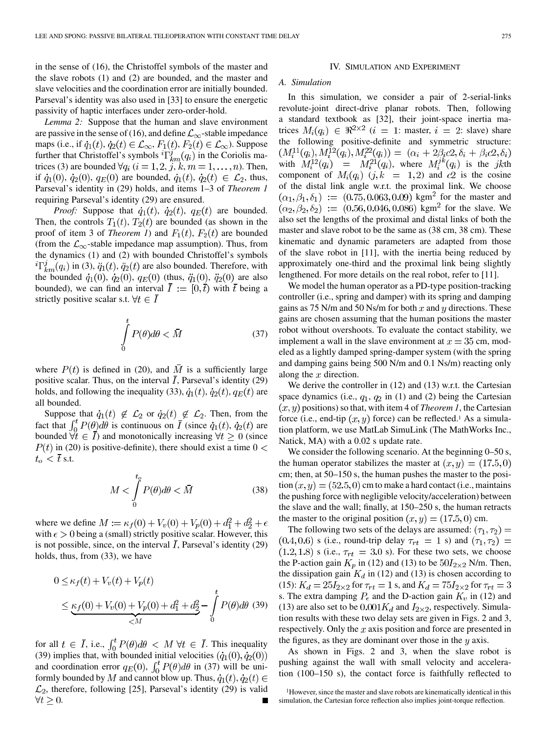in the sense of (16), the Christoffel symbols of the master and the slave robots (1) and (2) are bounded, and the master and slave velocities and the coordination error are initially bounded. Parseval's identity was also used in [\[33\]](#page-12-0) to ensure the energetic passivity of haptic interfaces under zero-order-hold.

*Lemma 2:* Suppose that the human and slave environment are passive in the sense of (16), and define  $\mathcal{L}_{\infty}$ -stable impedance maps (i.e., if  $\dot{q}_1(t), \dot{q}_2(t) \in \mathcal{L}_{\infty}$ ,  $F_1(t), F_2(t) \in \mathcal{L}_{\infty}$ ). Suppose further that Christoffel's symbols  ${}^{i}\Gamma^{j}_{km}(q_{i})$  in the Coriolis matrices (3) are bounded  $\forall q_i$  ( $i = 1, 2, j, k, m = 1, \dots, n$ ). Then, if  $\dot{q}_1(0), \dot{q}_2(0), q_E(0)$  are bounded,  $\dot{q}_1(t), \dot{q}_2(t) \in \mathcal{L}_2$ , thus, Parseval's identity in (29) holds, and items 1–3 of *Theorem 1* requiring Parseval's identity (29) are ensured.

*Proof:* Suppose that  $\dot{q}_1(t)$ ,  $\dot{q}_2(t)$ ,  $q_E(t)$  are bounded. Then, the controls  $T_1(t)$ ,  $T_2(t)$  are bounded (as shown in the proof of item 3 of *Theorem 1*) and  $F_1(t)$ ,  $F_2(t)$  are bounded (from the  $\mathcal{L}_{\infty}$ -stable impedance map assumption). Thus, from the dynamics (1) and (2) with bounded Christoffel's symbols  ${}^{i}\Gamma_{km}^{j}(q_i)$  in (3),  $\ddot{q}_1(t)$ ,  $\ddot{q}_2(t)$  are also bounded. Therefore, with the bounded  $\dot{q}_1(0), \dot{q}_2(0), q_E(0)$  (thus,  $\ddot{q}_1(0), \ddot{q}_2(0)$  are also bounded), we can find an interval  $\overline{I} := [0, \overline{t})$  with  $\overline{t}$  being a strictly positive scalar s.t.  $\forall t \in \overline{I}$ 

$$
\int_{0}^{t} P(\theta)d\theta < \bar{M}
$$
\n(37)

where  $P(t)$  is defined in (20), and  $\overline{M}$  is a sufficiently large positive scalar. Thus, on the interval  $\overline{I}$ , Parseval's identity (29) holds, and following the inequality (33),  $\dot{q}_1(t)$ ,  $\dot{q}_2(t)$ ,  $q_E(t)$  are all bounded.

Suppose that  $\dot{q}_1(t) \notin \mathcal{L}_2$  or  $\dot{q}_2(t) \notin \mathcal{L}_2$ . Then, from the fact that  $\int_0^t P(\theta) d\theta$  is continuous on  $\overline{I}$  (since  $\dot{q}_1(t)$ ,  $\dot{q}_2(t)$  are bounded  $\forall t \in \overline{I}$  and monotonically increasing  $\forall t \geq 0$  (since  $P(t)$  in (20) is positive-definite), there should exist a time  $0 <$  $t_o < \overline{t}$  s.t.

$$
M < \int\limits_0^{t_\theta} P(\theta)d\theta < \bar{M} \tag{38}
$$

where we define  $M := \kappa_f(0) + V_v(0) + V_p(0) + d_1^2 + d_2^2 + \epsilon$ with  $\epsilon > 0$  being a (small) strictly positive scalar. However, this is not possible, since, on the interval  $\overline{I}$ , Parseval's identity (29) holds, thus, from (33), we have

$$
0 \le \kappa_f(t) + V_v(t) + V_p(t)
$$
  
\n
$$
\le \underbrace{\kappa_f(0) + V_v(0) + V_p(0) + d_1^2 + d_2^2}_{\le M} - \int_0^t P(\theta) d\theta
$$
 (39)

for all  $t \in I$ , i.e.,  $\int_0^t P(\theta) d\theta < M \ \forall t \in I$ . This inequality (39) implies that, with bounded initial velocities and coordination error  $q_E(0)$ ,  $\int_0^t P(\theta) d\theta$  in (37) will be uniformly bounded by M and cannot blow up. Thus,  $\dot{q}_1(t), \dot{q}_2(t) \in$  $\mathcal{L}_2$ , therefore, following [[25\]](#page-12-0), Parseval's identity (29) is valid  $\forall t \geq 0.$ 

## IV. SIMULATION AND EXPERIMENT

### *A. Simulation*

In this simulation, we consider a pair of 2-serial-links revolute-joint direct-drive planar robots. Then, following a standard textbook as [[32\]](#page-12-0), their joint-space inertia matrices  $M_i(q_i) \in \Re^{2 \times 2}$   $(i = 1$ : master,  $i = 2$ : slave) share the following positive-definite and symmetric structure:<br>  $(M_i^{11}(q_i), M_i^{12}(q_i), M_i^{22}(q_i)) = (\alpha_i + 2\beta_i c2, \delta_i + \beta_i c2, \delta_i)$ with  $M_i^{12}(q_i) = M_i^{21}(q_i)$ , where  $M_i^{jk}(q_i)$  is the jkth component of  $M_i(q_i)$   $(j,k = 1,2)$  and  $c2$  is the cosine of the distal link angle w.r.t. the proximal link. We choose  $(\alpha_1, \beta_1, \delta_1) := (0.75, 0.063, 0.09)$  kgm<sup>2</sup> for the master and  $(\alpha_2, \beta_2, \delta_2) := (0.56, 0.046, 0.086)$  kgm<sup>2</sup> for the slave. We also set the lengths of the proximal and distal links of both the master and slave robot to be the same as (38 cm, 38 cm). These kinematic and dynamic parameters are adapted from those of the slave robot in [[11\]](#page-12-0), with the inertia being reduced by approximately one-third and the proximal link being slightly lengthened. For more details on the real robot, refer to [\[11](#page-12-0)].

We model the human operator as a PD-type position-tracking controller (i.e., spring and damper) with its spring and damping gains as 75 N/m and 50 Ns/m for both x and y directions. These gains are chosen assuming that the human positions the master robot without overshoots. To evaluate the contact stability, we implement a wall in the slave environment at  $x=35$  cm, modeled as a lightly damped spring-damper system (with the spring and damping gains being 500 N/m and 0.1 Ns/m) reacting only along the  $x$  direction.

We derive the controller in  $(12)$  and  $(13)$  w.r.t. the Cartesian space dynamics (i.e.,  $q_1$ ,  $q_2$  in (1) and (2) being the Cartesian  $(x, y)$  positions) so that, with item 4 of *Theorem 1*, the Cartesian force (i.e., end-tip  $(x, y)$  force) can be reflected.<sup>1</sup> As a simulation platform, we use MatLab SimuLink (The MathWorks Inc., Natick, MA) with a 0.02 s update rate.

We consider the following scenario. At the beginning 0–50 s, the human operator stabilizes the master at  $(x, y) = (17.5, 0)$ cm; then, at 50–150 s, the human pushes the master to the position  $(x, y) = (52.5, 0)$  cm to make a hard contact (i.e., maintains the pushing force with negligible velocity/acceleration) between the slave and the wall; finally, at 150–250 s, the human retracts the master to the original position  $(x, y) = (17.5, 0)$  cm.

The following two sets of the delays are assumed:  $(\tau_1, \tau_2)$  =  $(0.4, 0.6)$  s (i.e., round-trip delay  $\tau_{rt} = 1$  s) and  $(\tau_1, \tau_2) =$  $(1.2, 1.8)$  s (i.e.,  $\tau_{rt} = 3.0$  s). For these two sets, we choose the P-action gain  $K_p$  in (12) and (13) to be  $50I_{2\times2}$  N/m. Then, the dissipation gain  $K_d$  in (12) and (13) is chosen according to (15):  $K_d = 25I_{2\times 2}$  for  $\tau_{rt} = 1$  s, and  $K_d = 75I_{2\times 2}$  for  $\tau_{rt} = 3$ s. The extra damping  $P_{\epsilon}$  and the D-action gain  $K_v$  in (12) and (13) are also set to be  $0.001K_d$  and  $I_{2\times 2}$ , respectively. Simulation results with these two delay sets are given in Figs. 2 and 3, respectively. Only the  $x$  axis position and force are presented in the figures, as they are dominant over those in the  $y$  axis.

As shown in Figs. 2 and 3, when the slave robot is pushing against the wall with small velocity and acceleration (100–150 s), the contact force is faithfully reflected to

<sup>1</sup>However, since the master and slave robots are kinematically identical in this simulation, the Cartesian force reflection also implies joint-torque reflection.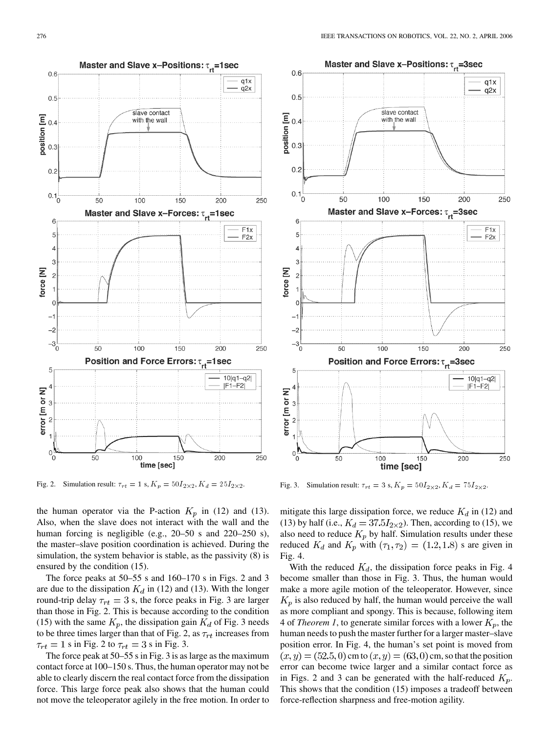

Fig. 2. Simulation result:  $\tau_{rt} = 1$  s,  $K_p = 50I_{2\times 2}$ ,  $K_d = 25I_{2\times 2}$ .

the human operator via the P-action  $K_p$  in (12) and (13). Also, when the slave does not interact with the wall and the human forcing is negligible (e.g., 20–50 s and 220–250 s), the master–slave position coordination is achieved. During the simulation, the system behavior is stable, as the passivity (8) is ensured by the condition (15).

The force peaks at 50–55 s and 160–170 s in Figs. 2 and 3 are due to the dissipation  $K_d$  in (12) and (13). With the longer round-trip delay  $\tau_{rt} = 3$  s, the force peaks in Fig. 3 are larger than those in Fig. 2. This is because according to the condition (15) with the same  $K_p$ , the dissipation gain  $K_d$  of Fig. 3 needs to be three times larger than that of Fig. 2, as  $\tau_{rt}$  increases from  $\tau_{rt} = 1$  s in Fig. 2 to  $\tau_{rt} = 3$  s in Fig. 3.

The force peak at 50–55 s in Fig. 3 is as large as the maximum contact force at 100–150 s. Thus, the human operator may not be able to clearly discern the real contact force from the dissipation force. This large force peak also shows that the human could not move the teleoperator agilely in the free motion. In order to



Fig. 3. Simulation result:  $\tau_{rt} = 3$  s,  $K_p = 50I_{2\times 2}$ ,  $K_d = 75I_{2\times 2}$ .

mitigate this large dissipation force, we reduce  $K_d$  in (12) and (13) by half (i.e.,  $K_d = 37.5I_{2\times2}$ ). Then, according to (15), we also need to reduce  $K_p$  by half. Simulation results under these reduced  $K_d$  and  $K_p$  with  $(\tau_1, \tau_2) = (1.2, 1.8)$  s are given in Fig. 4.

With the reduced  $K_d$ , the dissipation force peaks in Fig. 4 become smaller than those in Fig. 3. Thus, the human would make a more agile motion of the teleoperator. However, since  $K_p$  is also reduced by half, the human would perceive the wall as more compliant and spongy. This is because, following item 4 of *Theorem 1*, to generate similar forces with a lower  $K_p$ , the human needs to push the master further for a larger master–slave position error. In Fig. 4, the human's set point is moved from  $(x, y) = (52.5, 0)$  cm to  $(x, y) = (63, 0)$  cm, so that the position error can become twice larger and a similar contact force as in Figs. 2 and 3 can be generated with the half-reduced  $K_p$ . This shows that the condition (15) imposes a tradeoff between force-reflection sharpness and free-motion agility.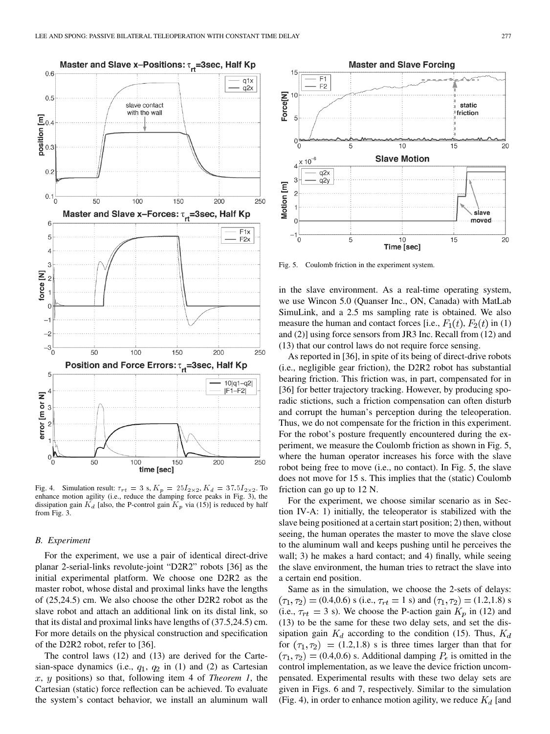

Fig. 4. Simulation result:  $\tau_{rt} = 3$  s,  $K_p = 25I_{2\times 2}$ ,  $K_d = 37.5I_{2\times 2}$ . To enhance motion agility (i.e., reduce the damping force peaks in Fig. 3), the dissipation gain  $K_d$  [also, the P-control gain  $K_p$  via (15)] is reduced by half from Fig. 3.

## *B. Experiment*

For the experiment, we use a pair of identical direct-drive planar 2-serial-links revolute-joint "D2R2" robots [\[36](#page-12-0)] as the initial experimental platform. We choose one D2R2 as the master robot, whose distal and proximal links have the lengths of (25,24.5) cm. We also choose the other D2R2 robot as the slave robot and attach an additional link on its distal link, so that its distal and proximal links have lengths of (37.5,24.5) cm. For more details on the physical construction and specification of the D2R2 robot, refer to [[36\]](#page-12-0).

The control laws (12) and (13) are derived for the Cartesian-space dynamics (i.e.,  $q_1$ ,  $q_2$  in (1) and (2) as Cartesian  $x, y$  positions) so that, following item 4 of *Theorem 1*, the Cartesian (static) force reflection can be achieved. To evaluate the system's contact behavior, we install an aluminum wall



Fig. 5. Coulomb friction in the experiment system.

in the slave environment. As a real-time operating system, we use Wincon 5.0 (Quanser Inc., ON, Canada) with MatLab SimuLink, and a 2.5 ms sampling rate is obtained. We also measure the human and contact forces [i.e.,  $F_1(t)$ ,  $F_2(t)$  in (1) and (2)] using force sensors from JR3 Inc. Recall from (12) and (13) that our control laws do not require force sensing.

As reported in [\[36\]](#page-12-0), in spite of its being of direct-drive robots (i.e., negligible gear friction), the D2R2 robot has substantial bearing friction. This friction was, in part, compensated for in [\[36](#page-12-0)] for better trajectory tracking. However, by producing sporadic stictions, such a friction compensation can often disturb and corrupt the human's perception during the teleoperation. Thus, we do not compensate for the friction in this experiment. For the robot's posture frequently encountered during the experiment, we measure the Coulomb friction as shown in Fig. 5, where the human operator increases his force with the slave robot being free to move (i.e., no contact). In Fig. 5, the slave does not move for 15 s. This implies that the (static) Coulomb friction can go up to 12 N.

For the experiment, we choose similar scenario as in Section IV-A: 1) initially, the teleoperator is stabilized with the slave being positioned at a certain start position; 2) then, without seeing, the human operates the master to move the slave close to the aluminum wall and keeps pushing until he perceives the wall; 3) he makes a hard contact; and 4) finally, while seeing the slave environment, the human tries to retract the slave into a certain end position.

Same as in the simulation, we choose the 2-sets of delays:  $(\tau_1, \tau_2) = (0.4, 0.6)$  s (i.e.,  $\tau_{rt} = 1$  s) and  $(\tau_1, \tau_2) = (1.2, 1.8)$  s (i.e.,  $\tau_{rt} = 3$  s). We choose the P-action gain  $K_p$  in (12) and (13) to be the same for these two delay sets, and set the dissipation gain  $K_d$  according to the condition (15). Thus,  $K_d$ for  $(\tau_1, \tau_2)$  = (1.2,1.8) s is three times larger than that for  $(\tau_1, \tau_2) = (0.4, 0.6)$  s. Additional damping  $P_{\epsilon}$  is omitted in the control implementation, as we leave the device friction uncompensated. Experimental results with these two delay sets are given in Figs. 6 and 7, respectively. Similar to the simulation (Fig. 4), in order to enhance motion agility, we reduce  $K_d$  [and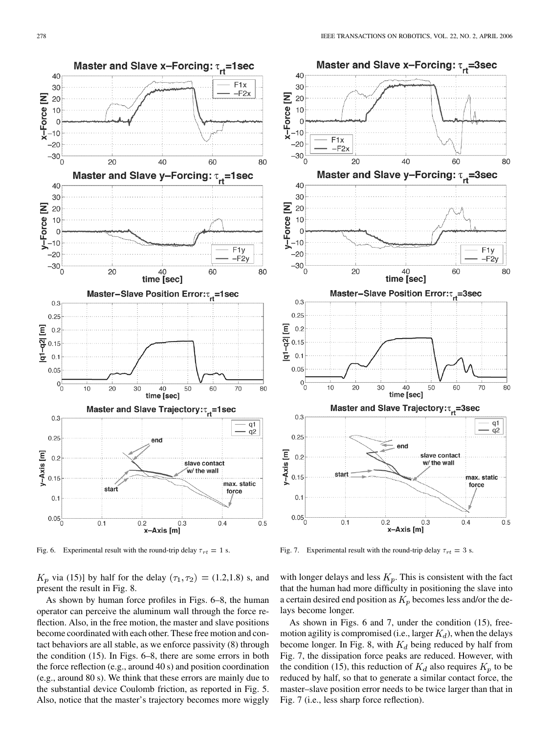

Fig. 6. Experimental result with the round-trip delay  $\tau_{rt} = 1$  s.

 $K_p$  via (15)] by half for the delay  $(\tau_1, \tau_2) = (1.2, 1.8)$  s, and present the result in Fig. 8.

As shown by human force profiles in Figs. 6–8, the human operator can perceive the aluminum wall through the force reflection. Also, in the free motion, the master and slave positions become coordinated with each other. These free motion and contact behaviors are all stable, as we enforce passivity (8) through the condition (15). In Figs. 6–8, there are some errors in both the force reflection (e.g., around 40 s) and position coordination (e.g., around 80 s). We think that these errors are mainly due to the substantial device Coulomb friction, as reported in Fig. 5. Also, notice that the master's trajectory becomes more wiggly



Fig. 7. Experimental result with the round-trip delay  $\tau_{rt} = 3$  s.

with longer delays and less  $K_p$ . This is consistent with the fact that the human had more difficulty in positioning the slave into a certain desired end position as  $K_p$  becomes less and/or the delays become longer.

As shown in Figs. 6 and 7, under the condition (15), freemotion agility is compromised (i.e., larger  $K_d$ ), when the delays become longer. In Fig. 8, with  $K_d$  being reduced by half from Fig. 7, the dissipation force peaks are reduced. However, with the condition (15), this reduction of  $K_d$  also requires  $K_p$  to be reduced by half, so that to generate a similar contact force, the master–slave position error needs to be twice larger than that in Fig. 7 (i.e., less sharp force reflection).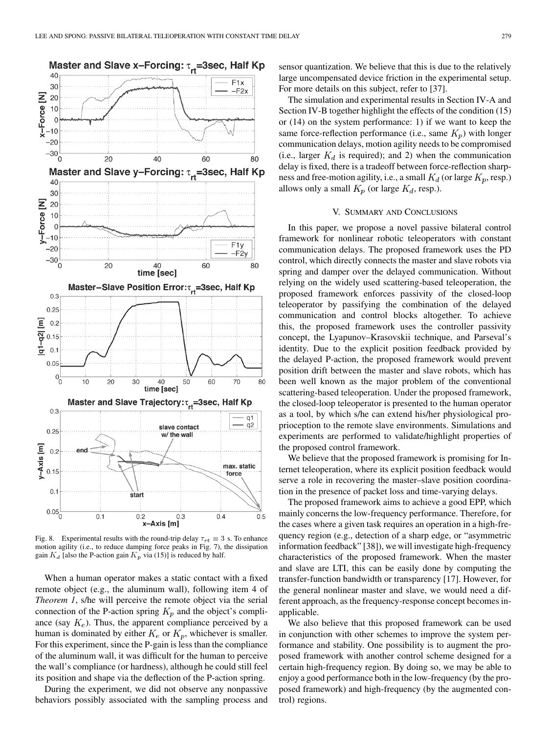

Fig. 8. Experimental results with the round-trip delay  $\tau_{rt} = 3$  s. To enhance motion agility (i.e., to reduce damping force peaks in Fig. 7), the dissipation gain  $K_d$  [also the P-action gain  $K_p$  via (15)] is reduced by half.

When a human operator makes a static contact with a fixed remote object (e.g., the aluminum wall), following item 4 of *Theorem 1*, s/he will perceive the remote object via the serial connection of the P-action spring  $K_p$  and the object's compliance (say  $K_e$ ). Thus, the apparent compliance perceived by a human is dominated by either  $K_e$  or  $K_p$ , whichever is smaller. For this experiment, since the P-gain is less than the compliance of the aluminum wall, it was difficult for the human to perceive the wall's compliance (or hardness), although he could still feel its position and shape via the deflection of the P-action spring.

During the experiment, we did not observe any nonpassive behaviors possibly associated with the sampling process and sensor quantization. We believe that this is due to the relatively large uncompensated device friction in the experimental setup. For more details on this subject, refer to [[37\]](#page-12-0).

The simulation and experimental results in Section IV-A and Section IV-B together highlight the effects of the condition (15) or (14) on the system performance: 1) if we want to keep the same force-reflection performance (i.e., same  $K_p$ ) with longer communication delays, motion agility needs to be compromised (i.e., larger  $K_d$  is required); and 2) when the communication delay is fixed, there is a tradeoff between force-reflection sharpness and free-motion agility, i.e., a small  $K_d$  (or large  $K_p$ , resp.) allows only a small  $K_p$  (or large  $K_d$ , resp.).

## V. SUMMARY AND CONCLUSIONS

In this paper, we propose a novel passive bilateral control framework for nonlinear robotic teleoperators with constant communication delays. The proposed framework uses the PD control, which directly connects the master and slave robots via spring and damper over the delayed communication. Without relying on the widely used scattering-based teleoperation, the proposed framework enforces passivity of the closed-loop teleoperator by passifying the combination of the delayed communication and control blocks altogether. To achieve this, the proposed framework uses the controller passivity concept, the Lyapunov–Krasovskii technique, and Parseval's identity. Due to the explicit position feedback provided by the delayed P-action, the proposed framework would prevent position drift between the master and slave robots, which has been well known as the major problem of the conventional scattering-based teleoperation. Under the proposed framework, the closed-loop teleoperator is presented to the human operator as a tool, by which s/he can extend his/her physiological proprioception to the remote slave environments. Simulations and experiments are performed to validate/highlight properties of the proposed control framework.

We believe that the proposed framework is promising for Internet teleoperation, where its explicit position feedback would serve a role in recovering the master–slave position coordination in the presence of packet loss and time-varying delays.

The proposed framework aims to achieve a good EPP, which mainly concerns the low-frequency performance. Therefore, for the cases where a given task requires an operation in a high-frequency region (e.g., detection of a sharp edge, or "asymmetric information feedback" [\[38](#page-12-0)]), we will investigate high-frequency characteristics of the proposed framework. When the master and slave are LTI, this can be easily done by computing the transfer-function bandwidth or transparency [\[17](#page-12-0)]. However, for the general nonlinear master and slave, we would need a different approach, as the frequency-response concept becomes inapplicable.

We also believe that this proposed framework can be used in conjunction with other schemes to improve the system performance and stability. One possibility is to augment the proposed framework with another control scheme designed for a certain high-frequency region. By doing so, we may be able to enjoy a good performance both in the low-frequency (by the proposed framework) and high-frequency (by the augmented control) regions.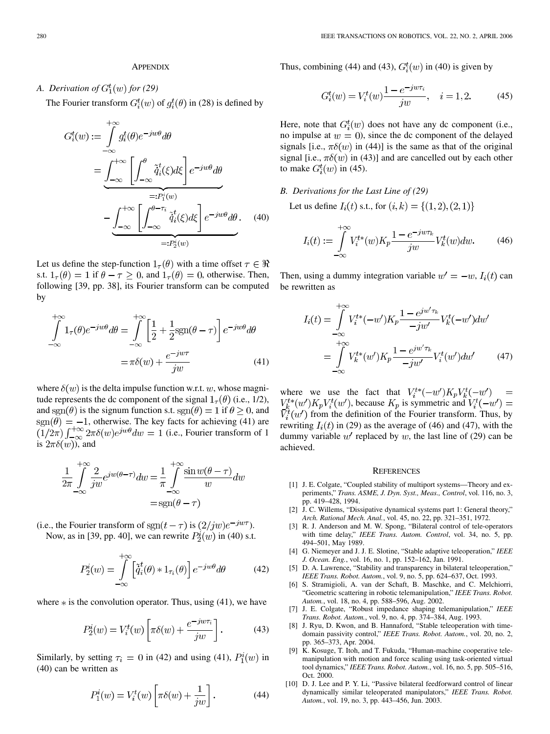## **APPENDIX**

## <span id="page-11-0"></span>*A. Derivation of*  $G_1^t(w)$  for (29)

The Fourier transform  $G_i^t(w)$  of  $g_i^t(\theta)$  in (28) is defined by

$$
G_i^t(w) := \int_{-\infty}^{+\infty} g_i^t(\theta) e^{-jw\theta} d\theta
$$
  
= 
$$
\underbrace{\int_{-\infty}^{+\infty} \left[ \int_{-\infty}^{\theta} \tilde{q}_i^t(\xi) d\xi \right] e^{-jw\theta} d\theta}_{=:P_i^i(w)}
$$
  
- 
$$
\underbrace{\int_{-\infty}^{+\infty} \left[ \int_{-\infty}^{\theta - \tau_i} \tilde{q}_i^t(\xi) d\xi \right] e^{-jw\theta} d\theta}_{=:P_2^i(w)}.
$$
 (40)

Let us define the step-function  $1_\tau(\theta)$  with a time offset  $\tau \in \Re$ s.t.  $1_{\tau}(\theta) = 1$  if  $\theta - \tau \geq 0$ , and  $1_{\tau}(\theta) = 0$ , otherwise. Then, following [[39,](#page-12-0) pp. 38], its Fourier transform can be computed by

$$
\int_{-\infty}^{+\infty} 1_{\tau}(\theta) e^{-jw\theta} d\theta = \int_{-\infty}^{+\infty} \left[ \frac{1}{2} + \frac{1}{2} \text{sgn}(\theta - \tau) \right] e^{-jw\theta} d\theta
$$

$$
= \pi \delta(w) + \frac{e^{-jw\tau}}{iw}
$$
(41)

where  $\delta(w)$  is the delta impulse function w.r.t. w, whose magnitude represents the dc component of the signal  $1_\tau(\theta)$  (i.e., 1/2), and sgm( $\theta$ ) is the signum function s.t.  $sgn(\theta) = 1$  if  $\theta > 0$ , and , otherwise. The key facts for achieving (41) are (i.e., Fourier transform of 1 is  $2\pi\delta(w)$ , and

$$
\frac{1}{2\pi} \int_{-\infty}^{+\infty} \frac{2}{jw} e^{jw(\theta - \tau)} dw = \frac{1}{\pi} \int_{-\infty}^{+\infty} \frac{\sin w(\theta - \tau)}{w} dw
$$

$$
= \text{sgn}(\theta - \tau)
$$

(i.e., the Fourier transform of sgn $(t - \tau)$  is  $\left(2/jw\right)e^{-jw\tau}$ ). Now, as in [\[39](#page-12-0), pp. 40], we can rewrite  $P_2^i(w)$  in (40) s.t.

$$
P_2^i(w) = \int_{-\infty}^{+\infty} \left[ \tilde{q}_i^t(\theta) * 1_{\tau_i}(\theta) \right] e^{-jw\theta} d\theta \tag{42}
$$

where  $*$  is the convolution operator. Thus, using (41), we have

$$
P_2^i(w) = V_i^t(w) \left[ \pi \delta(w) + \frac{e^{-j w \tau_i}}{j w} \right]. \tag{43}
$$

Similarly, by setting  $\tau_i = 0$  in (42) and using (41),  $P_1^i(w)$  in (40) can be written as

$$
P_1^i(w) = V_i^t(w) \left[ \pi \delta(w) + \frac{1}{jw} \right]. \tag{44}
$$

Thus, combining (44) and (43),  $G_i^t(w)$  in (40) is given by

$$
G_i^t(w) = V_i^t(w) \frac{1 - e^{-j w \tau_i}}{j w}, \quad i = 1, 2.
$$
 (45)

Here, note that  $G_i^t(w)$  does not have any dc component (i.e., no impulse at  $w = 0$ , since the dc component of the delayed signals [i.e.,  $\pi \delta(w)$  in (44)] is the same as that of the original signal [i.e.,  $\pi \delta(w)$  in (43)] and are cancelled out by each other to make  $G_i^t(w)$  in (45).

## *B. Derivations for the Last Line of (29)*

Let us define  $I_i(t)$  s.t., for  $(i,k) = \{(1,2), (2,1)\}\$ 

$$
I_i(t) := \int_{-\infty}^{+\infty} V_i^{t*}(w) K_p \frac{1 - e^{-j w \tau_k}}{j w} V_k^t(w) dw.
$$
 (46)

Then, using a dummy integration variable  $w' = -w, I_i(t)$  can be rewritten as

$$
I_i(t) = \int_{-\infty}^{+\infty} V_i^{t*}(-w')K_p \frac{1 - e^{j w' \tau_k}}{-j w'} V_k^t(-w') dw' = \int_{-\infty}^{+\infty} V_k^{t*}(w')K_p \frac{1 - e^{j w' \tau_k}}{-j w'} V_i^t(w') dw' \qquad (47)
$$

where we use the fact that  $V_i^{t*}(-w')K_pV_k^{t}(-w')$ , because  $K_p$  is symmetric and from the definition of the Fourier transform. Thus, by rewriting  $I_i(t)$  in (29) as the average of (46) and (47), with the dummy variable  $w'$  replaced by  $w$ , the last line of (29) can be achieved.

#### **REFERENCES**

- [1] J. E. Colgate, "Coupled stability of multiport systems—Theory and experiments," *Trans. ASME, J. Dyn. Syst., Meas., Control*, vol. 116, no. 3, pp. 419–428, 1994.
- [2] J. C. Willems, "Dissipative dynamical systems part 1: General theory," *Arch. Rational Mech. Anal.*, vol. 45, no. 22, pp. 321–351, 1972.
- [3] R. J. Anderson and M. W. Spong, "Bilateral control of tele-operators with time delay," *IEEE Trans. Autom. Control*, vol. 34, no. 5, pp. 494–501, May 1989.
- [4] G. Niemeyer and J. J. E. Slotine, "Stable adaptive teleoperation," *IEEE J. Ocean. Eng.*, vol. 16, no. 1, pp. 152–162, Jan. 1991.
- [5] D. A. Lawrence, "Stability and transparency in bilateral teleoperation," *IEEE Trans. Robot. Autom.*, vol. 9, no. 5, pp. 624–637, Oct. 1993.
- [6] S. Stramigioli, A. van der Schaft, B. Maschke, and C. Melchiorri, "Geometric scattering in robotic telemanipulation," *IEEE Trans. Robot. Autom.*, vol. 18, no. 4, pp. 588–596, Aug. 2002.
- [7] J. E. Colgate, "Robust impedance shaping telemanipulation," *IEEE Trans. Robot. Autom.*, vol. 9, no. 4, pp. 374–384, Aug. 1993.
- [8] J. Ryu, D. Kwon, and B. Hannaford, "Stable teleoperation with timedomain passivity control," *IEEE Trans. Robot. Autom.*, vol. 20, no. 2, pp. 365–373, Apr. 2004.
- [9] K. Kosuge, T. Itoh, and T. Fukuda, "Human-machine cooperative telemanipulation with motion and force scaling using task-oriented virtual tool dynamics," *IEEE Trans. Robot. Autom.*, vol. 16, no. 5, pp. 505–516, Oct. 2000.
- [10] D. J. Lee and P. Y. Li, "Passive bilateral feedforward control of linear dynamically similar teleoperated manipulators," *IEEE Trans. Robot. Autom.*, vol. 19, no. 3, pp. 443–456, Jun. 2003.